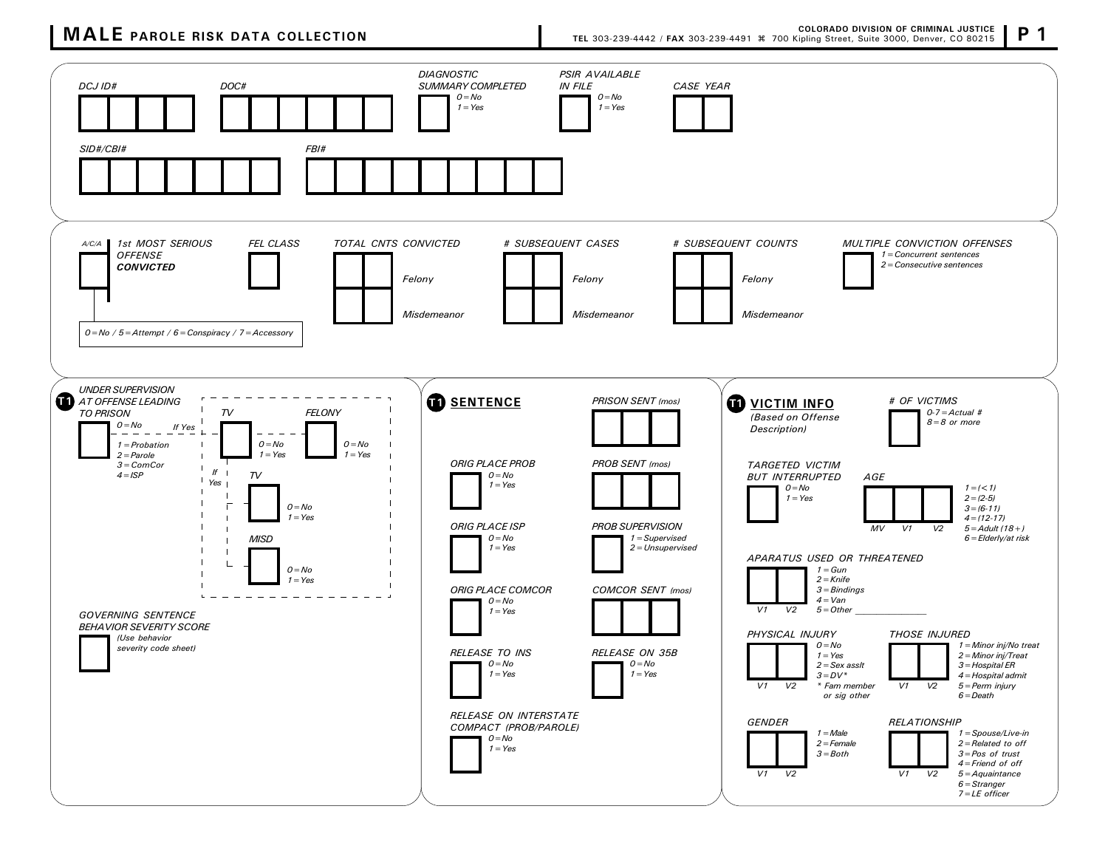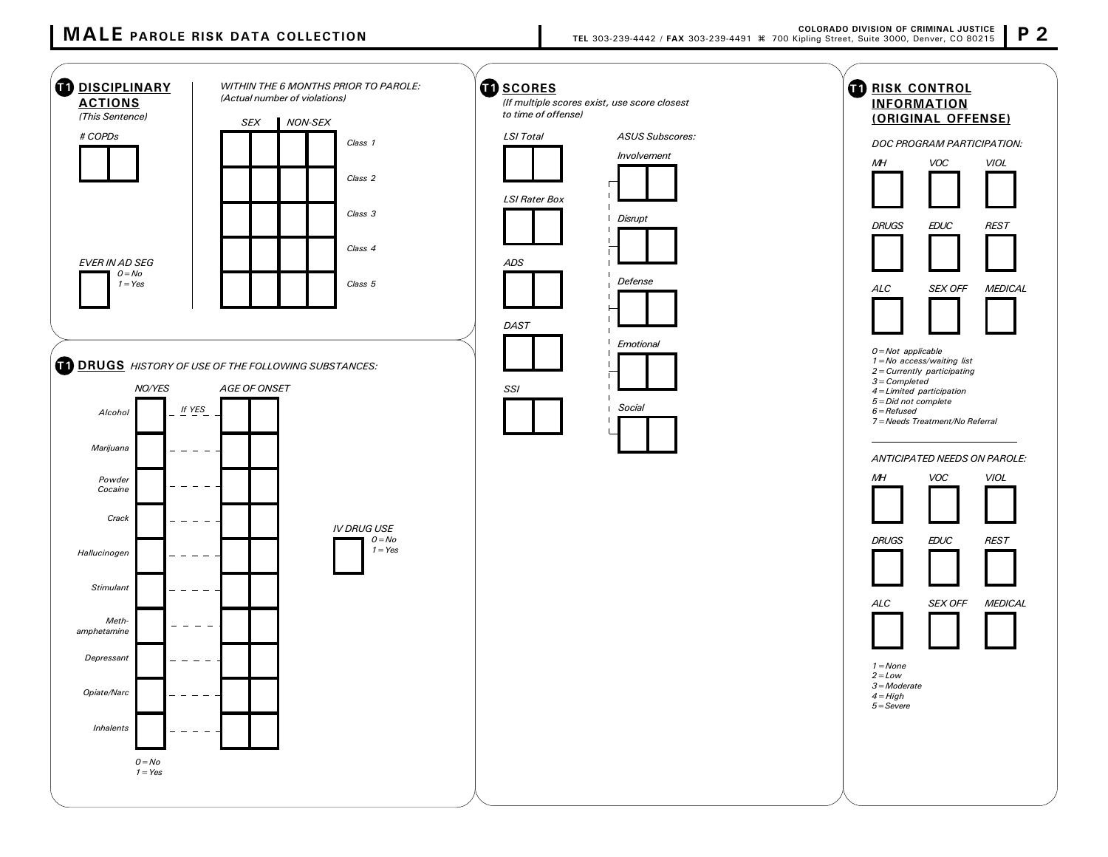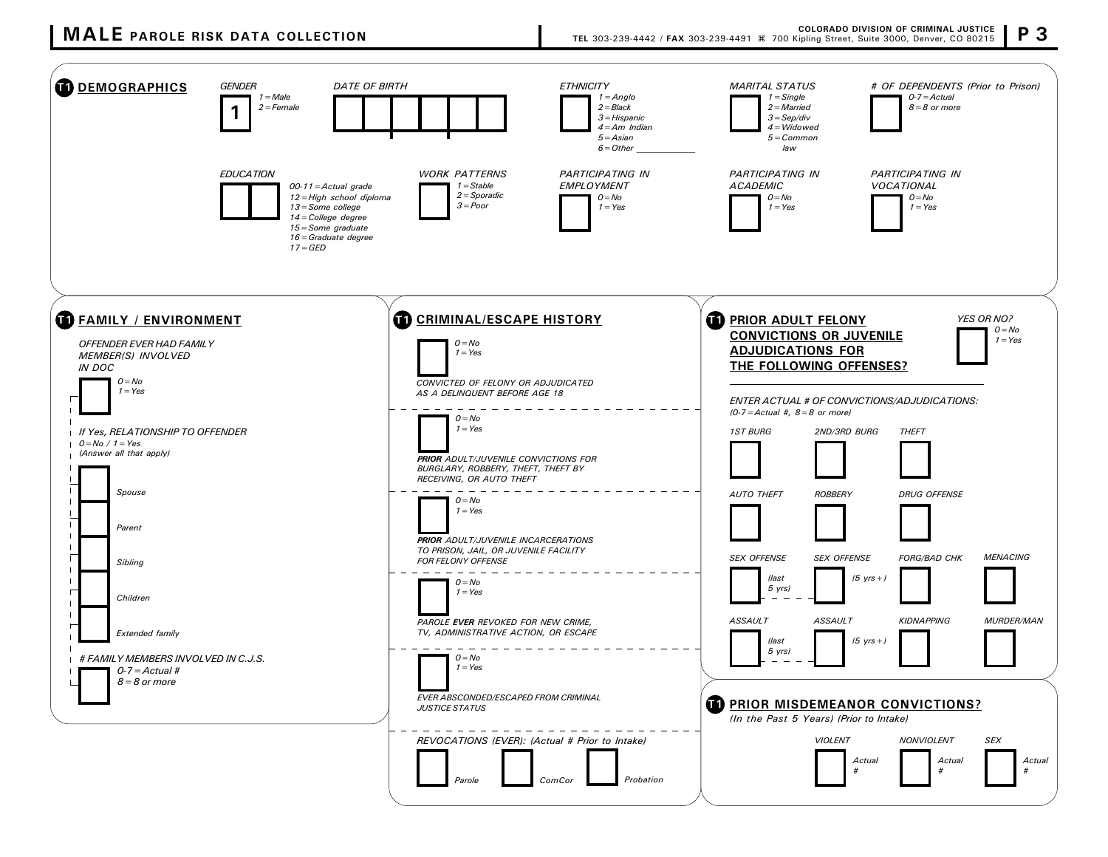